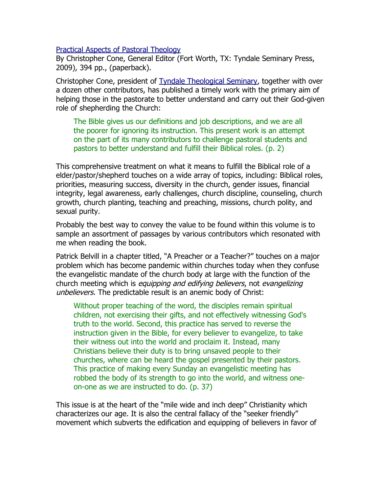## [Practical Aspects of Pastoral Theology](http://www.bestbookdeal.com/book/compare/9780981479156)

By Christopher Cone, General Editor (Fort Worth, TX: Tyndale Seminary Press, 2009), 394 pp., (paperback).

Christopher Cone, president of [Tyndale Theological Seminary,](http://www.tyndale.edu/) together with over a dozen other contributors, has published a timely work with the primary aim of helping those in the pastorate to better understand and carry out their God-given role of shepherding the Church:

The Bible gives us our definitions and job descriptions, and we are all the poorer for ignoring its instruction. This present work is an attempt on the part of its many contributors to challenge pastoral students and pastors to better understand and fulfill their Biblical roles. (p. 2)

This comprehensive treatment on what it means to fulfill the Biblical role of a elder/pastor/shepherd touches on a wide array of topics, including: Biblical roles, priorities, measuring success, diversity in the church, gender issues, financial integrity, legal awareness, early challenges, church discipline, counseling, church growth, church planting, teaching and preaching, missions, church polity, and sexual purity.

Probably the best way to convey the value to be found within this volume is to sample an assortment of passages by various contributors which resonated with me when reading the book.

Patrick Belvill in a chapter titled, "A Preacher or a Teacher?" touches on a major problem which has become pandemic within churches today when they confuse the evangelistic mandate of the church body at large with the function of the church meeting which is equipping and edifying believers, not evangelizing unbelievers. The predictable result is an anemic body of Christ:

Without proper teaching of the word, the disciples remain spiritual children, not exercising their gifts, and not effectively witnessing God's truth to the world. Second, this practice has served to reverse the instruction given in the Bible, for every believer to evangelize, to take their witness out into the world and proclaim it. Instead, many Christians believe their duty is to bring unsaved people to their churches, where can be heard the gospel presented by their pastors. This practice of making every Sunday an evangelistic meeting has robbed the body of its strength to go into the world, and witness oneon-one as we are instructed to do. (p. 37)

This issue is at the heart of the "mile wide and inch deep" Christianity which characterizes our age. It is also the central fallacy of the "seeker friendly" movement which subverts the edification and equipping of believers in favor of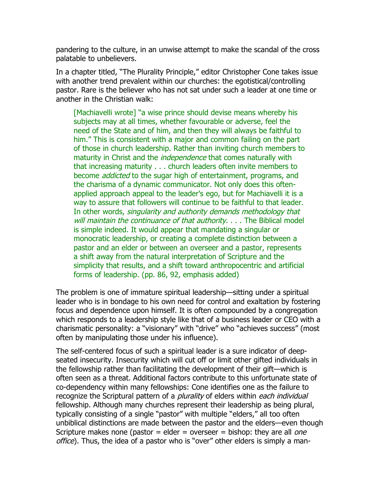pandering to the culture, in an unwise attempt to make the scandal of the cross palatable to unbelievers.

In a chapter titled, "The Plurality Principle," editor Christopher Cone takes issue with another trend prevalent within our churches: the egotistical/controlling pastor. Rare is the believer who has not sat under such a leader at one time or another in the Christian walk:

[Machiavelli wrote] "a wise prince should devise means whereby his subjects may at all times, whether favourable or adverse, feel the need of the State and of him, and then they will always be faithful to him." This is consistent with a major and common failing on the part of those in church leadership. Rather than inviting church members to maturity in Christ and the *independence* that comes naturally with that increasing maturity . . . church leaders often invite members to become *addicted* to the sugar high of entertainment, programs, and the charisma of a dynamic communicator. Not only does this oftenapplied approach appeal to the leader's ego, but for Machiavelli it is a way to assure that followers will continue to be faithful to that leader. In other words, singularity and authority demands methodology that will maintain the continuance of that authority. . . . The Biblical model is simple indeed. It would appear that mandating a singular or monocratic leadership, or creating a complete distinction between a pastor and an elder or between an overseer and a pastor, represents a shift away from the natural interpretation of Scripture and the simplicity that results, and a shift toward anthropocentric and artificial forms of leadership. (pp. 86, 92, emphasis added)

The problem is one of immature spiritual leadership—sitting under a spiritual leader who is in bondage to his own need for control and exaltation by fostering focus and dependence upon himself. It is often compounded by a congregation which responds to a leadership style like that of a business leader or CEO with a charismatic personality: a "visionary" with "drive" who "achieves success" (most often by manipulating those under his influence).

The self-centered focus of such a spiritual leader is a sure indicator of deepseated insecurity. Insecurity which will cut off or limit other gifted individuals in the fellowship rather than facilitating the development of their gift—which is often seen as a threat. Additional factors contribute to this unfortunate state of co-dependency within many fellowships: Cone identifies one as the failure to recognize the Scriptural pattern of a *plurality* of elders within each individual fellowship. Although many churches represent their leadership as being plural, typically consisting of a single "pastor" with multiple "elders," all too often unbiblical distinctions are made between the pastor and the elders—even though Scripture makes none (pastor = elder = overseer = bishop: they are all one office). Thus, the idea of a pastor who is "over" other elders is simply a man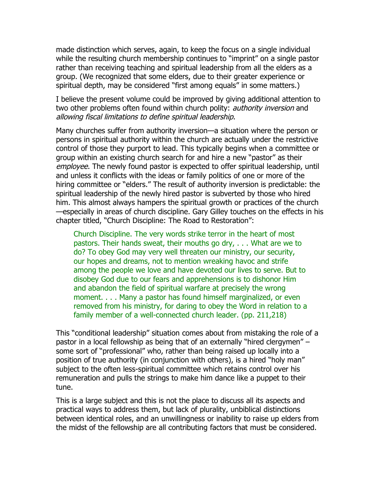made distinction which serves, again, to keep the focus on a single individual while the resulting church membership continues to "imprint" on a single pastor rather than receiving teaching and spiritual leadership from all the elders as a group. (We recognized that some elders, due to their greater experience or spiritual depth, may be considered "first among equals" in some matters.)

I believe the present volume could be improved by giving additional attention to two other problems often found within church polity: *authority inversion* and allowing fiscal limitations to define spiritual leadership.

Many churches suffer from authority inversion—a situation where the person or persons in spiritual authority within the church are actually under the restrictive control of those they purport to lead. This typically begins when a committee or group within an existing church search for and hire a new "pastor" as their employee. The newly found pastor is expected to offer spiritual leadership, until and unless it conflicts with the ideas or family politics of one or more of the hiring committee or "elders." The result of authority inversion is predictable: the spiritual leadership of the newly hired pastor is subverted by those who hired him. This almost always hampers the spiritual growth or practices of the church —especially in areas of church discipline. Gary Gilley touches on the effects in his chapter titled, "Church Discipline: The Road to Restoration":

Church Discipline. The very words strike terror in the heart of most pastors. Their hands sweat, their mouths go dry, . . . What are we to do? To obey God may very well threaten our ministry, our security, our hopes and dreams, not to mention wreaking havoc and strife among the people we love and have devoted our lives to serve. But to disobey God due to our fears and apprehensions is to dishonor Him and abandon the field of spiritual warfare at precisely the wrong moment. . . . Many a pastor has found himself marginalized, or even removed from his ministry, for daring to obey the Word in relation to a family member of a well-connected church leader. (pp. 211,218)

This "conditional leadership" situation comes about from mistaking the role of a pastor in a local fellowship as being that of an externally "hired clergymen" – some sort of "professional" who, rather than being raised up locally into a position of true authority (in conjunction with others), is a hired "holy man" subject to the often less-spiritual committee which retains control over his remuneration and pulls the strings to make him dance like a puppet to their tune.

This is a large subject and this is not the place to discuss all its aspects and practical ways to address them, but lack of plurality, unbiblical distinctions between identical roles, and an unwillingness or inability to raise up elders from the midst of the fellowship are all contributing factors that must be considered.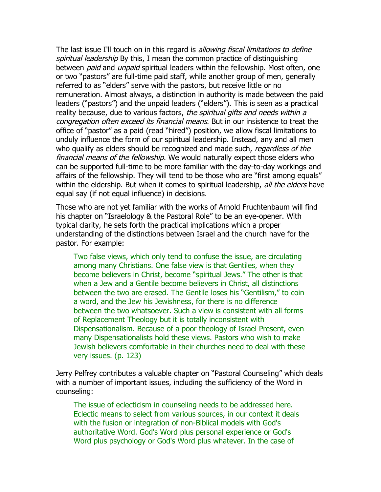The last issue I'll touch on in this regard is *allowing fiscal limitations to define* spiritual leadership By this, I mean the common practice of distinguishing between *paid* and *unpaid* spiritual leaders within the fellowship. Most often, one or two "pastors" are full-time paid staff, while another group of men, generally referred to as "elders" serve with the pastors, but receive little or no remuneration. Almost always, a distinction in authority is made between the paid leaders ("pastors") and the unpaid leaders ("elders"). This is seen as a practical reality because, due to various factors, the spiritual gifts and needs within a congregation often exceed its financial means. But in our insistence to treat the office of "pastor" as a paid (read "hired") position, we allow fiscal limitations to unduly influence the form of our spiritual leadership. Instead, any and all men who qualify as elders should be recognized and made such, *regardless of the* financial means of the fellowship. We would naturally expect those elders who can be supported full-time to be more familiar with the day-to-day workings and affairs of the fellowship. They will tend to be those who are "first among equals" within the eldership. But when it comes to spiritual leadership, all the elders have equal say (if not equal influence) in decisions.

Those who are not yet familiar with the works of Arnold Fruchtenbaum will find his chapter on "Israelology & the Pastoral Role" to be an eye-opener. With typical clarity, he sets forth the practical implications which a proper understanding of the distinctions between Israel and the church have for the pastor. For example:

Two false views, which only tend to confuse the issue, are circulating among many Christians. One false view is that Gentiles, when they become believers in Christ, become "spiritual Jews." The other is that when a Jew and a Gentile become believers in Christ, all distinctions between the two are erased. The Gentile loses his "Gentilism," to coin a word, and the Jew his Jewishness, for there is no difference between the two whatsoever. Such a view is consistent with all forms of Replacement Theology but it is totally inconsistent with Dispensationalism. Because of a poor theology of Israel Present, even many Dispensationalists hold these views. Pastors who wish to make Jewish believers comfortable in their churches need to deal with these very issues. (p. 123)

Jerry Pelfrey contributes a valuable chapter on "Pastoral Counseling" which deals with a number of important issues, including the sufficiency of the Word in counseling:

The issue of eclecticism in counseling needs to be addressed here. Eclectic means to select from various sources, in our context it deals with the fusion or integration of non-Biblical models with God's authoritative Word. God's Word plus personal experience or God's Word plus psychology or God's Word plus whatever. In the case of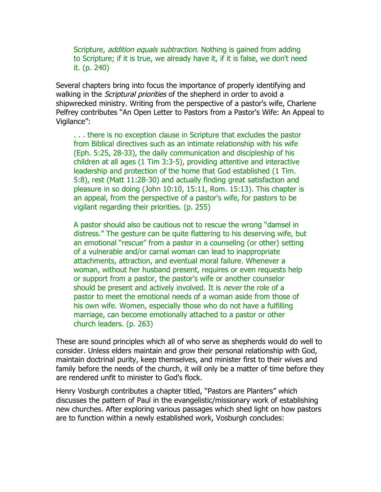Scripture, *addition equals subtraction*. Nothing is gained from adding to Scripture; if it is true, we already have it, if it is false, we don't need it. (p. 240)

Several chapters bring into focus the importance of properly identifying and walking in the *Scriptural priorities* of the shepherd in order to avoid a shipwrecked ministry. Writing from the perspective of a pastor's wife, Charlene Pelfrey contributes "An Open Letter to Pastors from a Pastor's Wife: An Appeal to Vigilance":

. . . there is no exception clause in Scripture that excludes the pastor from Biblical directives such as an intimate relationship with his wife (Eph. 5:25, 28-33), the daily communication and discipleship of his children at all ages (1 Tim 3:3-5), providing attentive and interactive leadership and protection of the home that God established (1 Tim. 5:8), rest (Matt 11:28-30) and actually finding great satisfaction and pleasure in so doing (John 10:10, 15:11, Rom. 15:13). This chapter is an appeal, from the perspective of a pastor's wife, for pastors to be vigilant regarding their priorities. (p. 255)

A pastor should also be cautious not to rescue the wrong "damsel in distress." The gesture can be quite flattering to his deserving wife, but an emotional "rescue" from a pastor in a counseling (or other) setting of a vulnerable and/or carnal woman can lead to inappropriate attachments, attraction, and eventual moral failure. Whenever a woman, without her husband present, requires or even requests help or support from a pastor, the pastor's wife or another counselor should be present and actively involved. It is *never* the role of a pastor to meet the emotional needs of a woman aside from those of his own wife. Women, especially those who do not have a fulfilling marriage, can become emotionally attached to a pastor or other church leaders. (p. 263)

These are sound principles which all of who serve as shepherds would do well to consider. Unless elders maintain and grow their personal relationship with God, maintain doctrinal purity, keep themselves, and minister first to their wives and family before the needs of the church, it will only be a matter of time before they are rendered unfit to minister to God's flock.

Henry Vosburgh contributes a chapter titled, "Pastors are Planters" which discusses the pattern of Paul in the evangelistic/missionary work of establishing new churches. After exploring various passages which shed light on how pastors are to function within a newly established work, Vosburgh concludes: